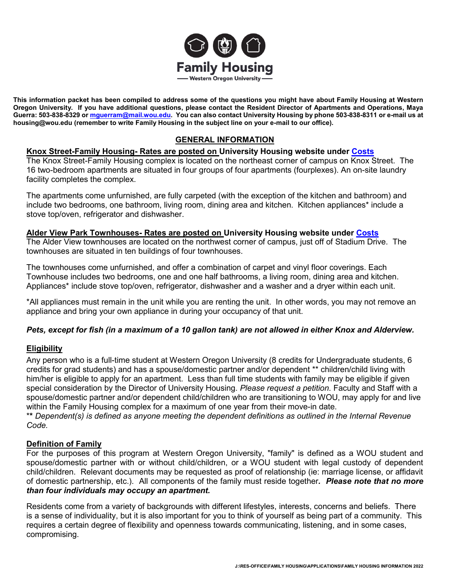

**This information packet has been compiled to address some of the questions you might have about Family Housing at Western Oregon University. If you have additional questions, please contact the Resident Director of Apartments and Operations, Maya Guerra: 503-838-8329 or [mguerram@mail.wou.edu.](mailto:mguerram@mail.wou.edu) You can also contact University Housing by phone 503-838-8311 or e-mail us at housing@wou.edu (remember to write Family Housing in the subject line on your e-mail to our office).**

# **GENERAL INFORMATION**

## **Knox Street-Family Housing- Rates are posted on University Housing website under [Costs](https://wou.edu/housing/costs/)**

The Knox Street-Family Housing complex is located on the northeast corner of campus on Knox Street. The 16 two-bedroom apartments are situated in four groups of four apartments (fourplexes). An on-site laundry facility completes the complex.

The apartments come unfurnished, are fully carpeted (with the exception of the kitchen and bathroom) and include two bedrooms, one bathroom, living room, dining area and kitchen. Kitchen appliances\* include a stove top/oven, refrigerator and dishwasher.

#### **Alder View Park Townhouses- Rates are posted on University Housing website under [Costs](https://wou.edu/housing/costs/)**

The Alder View townhouses are located on the northwest corner of campus, just off of Stadium Drive. The townhouses are situated in ten buildings of four townhouses.

The townhouses come unfurnished, and offer a combination of carpet and vinyl floor coverings. Each Townhouse includes two bedrooms, one and one half bathrooms, a living room, dining area and kitchen. Appliances\* include stove top/oven, refrigerator, dishwasher and a washer and a dryer within each unit.

\*All appliances must remain in the unit while you are renting the unit. In other words, you may not remove an appliance and bring your own appliance in during your occupancy of that unit.

## *Pets, except for fish (in a maximum of a 10 gallon tank) are not allowed in either Knox and Alderview.*

## **Eligibility**

Any person who is a full-time student at Western Oregon University (8 credits for Undergraduate students, 6 credits for grad students) and has a spouse/domestic partner and/or dependent \*\* children/child living with him/her is eligible to apply for an apartment. Less than full time students with family may be eligible if given special consideration by the Director of University Housing. *Please request a petition*. Faculty and Staff with a spouse/domestic partner and/or dependent child/children who are transitioning to WOU, may apply for and live within the Family Housing complex for a maximum of one year from their move-in date.

\***\*** *Dependent(s) is defined as anyone meeting the dependent definitions as outlined in the Internal Revenue Code.*

#### **Definition of Family**

For the purposes of this program at Western Oregon University, "family" is defined as a WOU student and spouse/domestic partner with or without child/children, or a WOU student with legal custody of dependent child/children. Relevant documents may be requested as proof of relationship (ie: marriage license, or affidavit of domestic partnership, etc.). All components of the family must reside together*. Please note that no more than four individuals may occupy an apartment.* 

Residents come from a variety of backgrounds with different lifestyles, interests, concerns and beliefs. There is a sense of individuality, but it is also important for you to think of yourself as being part of a community. This requires a certain degree of flexibility and openness towards communicating, listening, and in some cases, compromising.